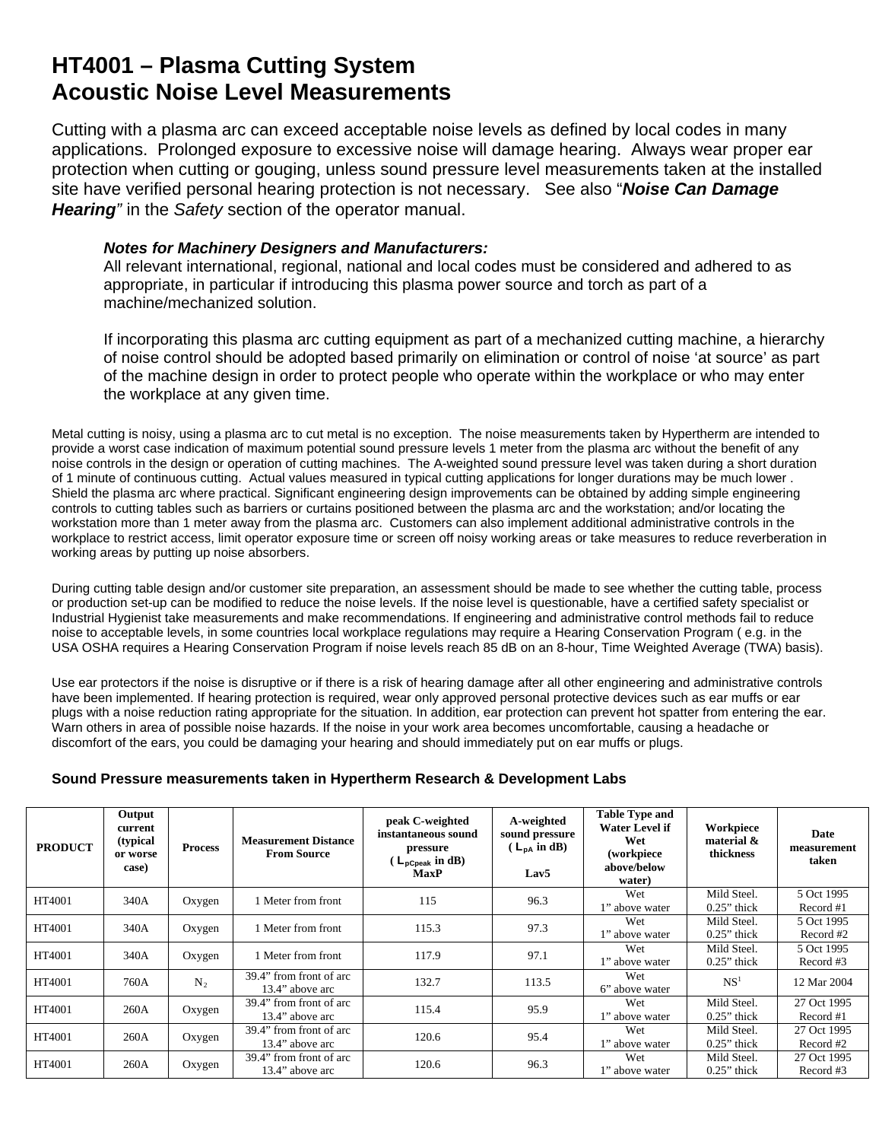## **HT4001 – Plasma Cutting System Acoustic Noise Level Measurements**

Cutting with a plasma arc can exceed acceptable noise levels as defined by local codes in many applications. Prolonged exposure to excessive noise will damage hearing. Always wear proper ear protection when cutting or gouging, unless sound pressure level measurements taken at the installed site have verified personal hearing protection is not necessary. See also "*Noise Can Damage Hearing"* in the *Safety* section of the operator manual.

## *Notes for Machinery Designers and Manufacturers:*

All relevant international, regional, national and local codes must be considered and adhered to as appropriate, in particular if introducing this plasma power source and torch as part of a machine/mechanized solution.

If incorporating this plasma arc cutting equipment as part of a mechanized cutting machine, a hierarchy of noise control should be adopted based primarily on elimination or control of noise 'at source' as part of the machine design in order to protect people who operate within the workplace or who may enter the workplace at any given time.

Metal cutting is noisy, using a plasma arc to cut metal is no exception. The noise measurements taken by Hypertherm are intended to provide a worst case indication of maximum potential sound pressure levels 1 meter from the plasma arc without the benefit of any noise controls in the design or operation of cutting machines. The A-weighted sound pressure level was taken during a short duration of 1 minute of continuous cutting. Actual values measured in typical cutting applications for longer durations may be much lower . Shield the plasma arc where practical. Significant engineering design improvements can be obtained by adding simple engineering controls to cutting tables such as barriers or curtains positioned between the plasma arc and the workstation; and/or locating the workstation more than 1 meter away from the plasma arc. Customers can also implement additional administrative controls in the workplace to restrict access, limit operator exposure time or screen off noisy working areas or take measures to reduce reverberation in working areas by putting up noise absorbers.

During cutting table design and/or customer site preparation, an assessment should be made to see whether the cutting table, process or production set-up can be modified to reduce the noise levels. If the noise level is questionable, have a certified safety specialist or Industrial Hygienist take measurements and make recommendations. If engineering and administrative control methods fail to reduce noise to acceptable levels, in some countries local workplace regulations may require a Hearing Conservation Program ( e.g. in the USA OSHA requires a Hearing Conservation Program if noise levels reach 85 dB on an 8-hour, Time Weighted Average (TWA) basis).

Use ear protectors if the noise is disruptive or if there is a risk of hearing damage after all other engineering and administrative controls have been implemented. If hearing protection is required, wear only approved personal protective devices such as ear muffs or ear plugs with a noise reduction rating appropriate for the situation. In addition, ear protection can prevent hot spatter from entering the ear. Warn others in area of possible noise hazards. If the noise in your work area becomes uncomfortable, causing a headache or discomfort of the ears, you could be damaging your hearing and should immediately put on ear muffs or plugs.

## **Sound Pressure measurements taken in Hypertherm Research & Development Labs**

| <b>PRODUCT</b> | Output<br>current<br>(typical)<br>or worse<br>case) | <b>Process</b> | <b>Measurement Distance</b><br><b>From Source</b> | peak C-weighted<br>instantaneous sound<br>pressure<br>$(L_{\text{pCpeak}} \text{ in dB})$<br><b>MaxP</b> | A-weighted<br>sound pressure<br>$(L_{DA} \text{ in } dB)$<br>Lav <sub>5</sub> | <b>Table Type and</b><br><b>Water Level if</b><br>Wet<br>(workpiece<br>above/below<br>water) | Workpiece<br>material &<br>thickness | <b>Date</b><br>measurement<br>taken |
|----------------|-----------------------------------------------------|----------------|---------------------------------------------------|----------------------------------------------------------------------------------------------------------|-------------------------------------------------------------------------------|----------------------------------------------------------------------------------------------|--------------------------------------|-------------------------------------|
| HT4001         | 340A                                                | Oxygen         | 1 Meter from front                                | 115                                                                                                      | 96.3                                                                          | Wet<br>1" above water                                                                        | Mild Steel.<br>$0.25$ " thick        | 5 Oct 1995<br>Record #1             |
| HT4001         | 340A                                                | Oxygen         | 1 Meter from front                                | 115.3                                                                                                    | 97.3                                                                          | Wet<br>1" above water                                                                        | Mild Steel.<br>$0.25$ " thick        | 5 Oct 1995<br>Record #2             |
| HT4001         | 340A                                                | Oxygen         | 1 Meter from front                                | 117.9                                                                                                    | 97.1                                                                          | Wet<br>1" above water                                                                        | Mild Steel.<br>$0.25$ " thick        | 5 Oct 1995<br>Record #3             |
| HT4001         | 760A                                                | $N_2$          | 39.4" from front of arc<br>13.4" above arc        | 132.7                                                                                                    | 113.5                                                                         | Wet<br>6" above water                                                                        | NS <sup>1</sup>                      | 12 Mar 2004                         |
| HT4001         | 260A                                                | Oxygen         | 39.4" from front of arc<br>13.4" above arc        | 115.4                                                                                                    | 95.9                                                                          | Wet<br>1" above water                                                                        | Mild Steel.<br>$0.25$ " thick        | 27 Oct 1995<br>Record #1            |
| HT4001         | 260A                                                | Oxygen         | 39.4" from front of arc<br>13.4" above arc        | 120.6                                                                                                    | 95.4                                                                          | Wet<br>1" above water                                                                        | Mild Steel.<br>$0.25$ " thick        | 27 Oct 1995<br>Record #2            |
| HT4001         | 260A                                                | Oxygen         | 39.4" from front of arc<br>13.4" above arc        | 120.6                                                                                                    | 96.3                                                                          | Wet<br>1" above water                                                                        | Mild Steel.<br>$0.25$ " thick        | 27 Oct 1995<br>Record #3            |